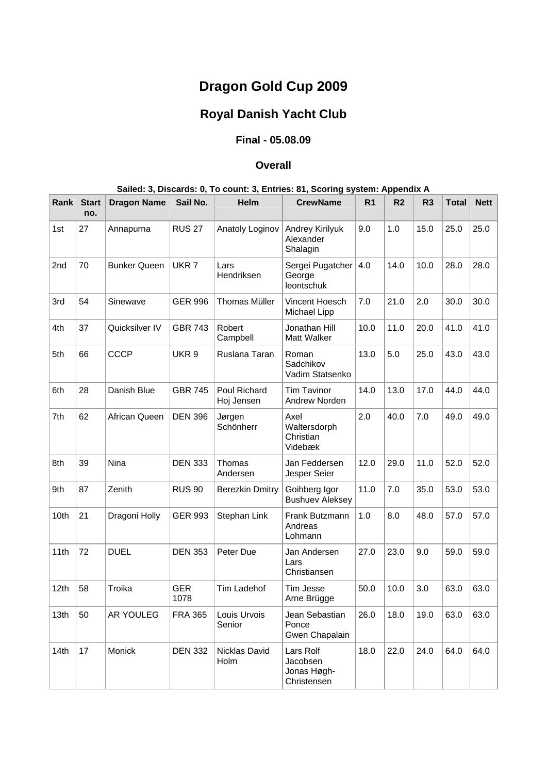# **Dragon Gold Cup 2009**

## **Royal Danish Yacht Club**

## **Final - 05.08.09**

### **Overall**

### **Sailed: 3, Discards: 0, To count: 3, Entries: 81, Scoring system: Appendix A**

| Rank | <b>Start</b><br>no. | <b>Dragon Name</b>  | Sail No.           | <b>Helm</b>                | <b>CrewName</b>                                     | R <sub>1</sub> | R <sub>2</sub> | R <sub>3</sub> | <b>Total</b> | <b>Nett</b> |
|------|---------------------|---------------------|--------------------|----------------------------|-----------------------------------------------------|----------------|----------------|----------------|--------------|-------------|
| 1st  | 27                  | Annapurna           | <b>RUS 27</b>      | Anatoly Loginov            | Andrey Kirilyuk<br>Alexander<br>Shalagin            | 9.0            | 1.0            | 15.0           | 25.0         | 25.0        |
| 2nd  | 70                  | <b>Bunker Queen</b> | UKR <sub>7</sub>   | Lars<br>Hendriksen         | Sergei Pugatcher<br>George<br>leontschuk            | 4.0            | 14.0           | 10.0           | 28.0         | 28.0        |
| 3rd  | 54                  | Sinewave            | <b>GER 996</b>     | <b>Thomas Müller</b>       | Vincent Hoesch<br>Michael Lipp                      | 7.0            | 21.0           | 2.0            | 30.0         | 30.0        |
| 4th  | 37                  | Quicksilver IV      | <b>GBR 743</b>     | Robert<br>Campbell         | Jonathan Hill<br>Matt Walker                        | 10.0           | 11.0           | 20.0           | 41.0         | 41.0        |
| 5th  | 66                  | <b>CCCP</b>         | UKR 9              | Ruslana Taran              | Roman<br>Sadchikov<br>Vadim Statsenko               | 13.0           | 5.0            | 25.0           | 43.0         | 43.0        |
| 6th  | 28                  | Danish Blue         | <b>GBR 745</b>     | Poul Richard<br>Hoj Jensen | <b>Tim Tavinor</b><br>Andrew Norden                 | 14.0           | 13.0           | 17.0           | 44.0         | 44.0        |
| 7th  | 62                  | African Queen       | <b>DEN 396</b>     | Jørgen<br>Schönherr        | Axel<br>Waltersdorph<br>Christian<br>Videbæk        | 2.0            | 40.0           | 7.0            | 49.0         | 49.0        |
| 8th  | 39                  | Nina                | <b>DEN 333</b>     | Thomas<br>Andersen         | Jan Feddersen<br>Jesper Seier                       | 12.0           | 29.0           | 11.0           | 52.0         | 52.0        |
| 9th  | 87                  | Zenith              | <b>RUS 90</b>      | Berezkin Dmitry            | Goihberg Igor<br><b>Bushuev Aleksey</b>             | 11.0           | $7.0\,$        | 35.0           | 53.0         | 53.0        |
| 10th | 21                  | Dragoni Holly       | <b>GER 993</b>     | Stephan Link               | Frank Butzmann<br>Andreas<br>Lohmann                | 1.0            | 8.0            | 48.0           | 57.0         | 57.0        |
| 11th | 72                  | <b>DUEL</b>         | <b>DEN 353</b>     | Peter Due                  | Jan Andersen<br>Lars<br>Christiansen                | 27.0           | 23.0           | 9.0            | 59.0         | 59.0        |
| 12th | 58                  | Troika              | <b>GER</b><br>1078 | Tim Ladehof                | Tim Jesse<br>Arne Brügge                            | 50.0           | 10.0           | 3.0            | 63.0         | 63.0        |
| 13th | 50                  | AR YOULEG           | <b>FRA 365</b>     | Louis Urvois<br>Senior     | Jean Sebastian<br>Ponce<br>Gwen Chapalain           | 26.0           | 18.0           | 19.0           | 63.0         | 63.0        |
| 14th | 17                  | Monick              | <b>DEN 332</b>     | Nicklas David<br>Holm      | Lars Rolf<br>Jacobsen<br>Jonas Høgh-<br>Christensen | 18.0           | 22.0           | 24.0           | 64.0         | 64.0        |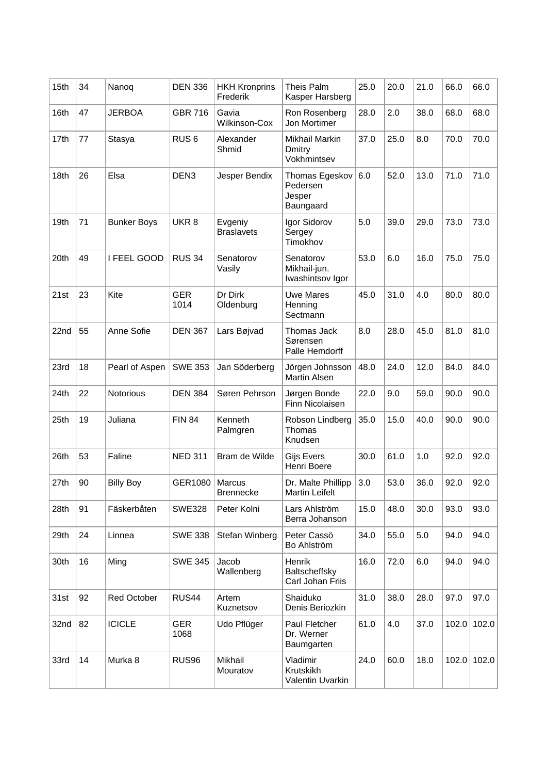| 15th | 34 | Nanoq              | <b>DEN 336</b>     | <b>HKH Kronprins</b><br>Frederik | Theis Palm<br>Kasper Harsberg                     | 25.0 | 20.0 | 21.0 | 66.0  | 66.0  |
|------|----|--------------------|--------------------|----------------------------------|---------------------------------------------------|------|------|------|-------|-------|
| 16th | 47 | <b>JERBOA</b>      | <b>GBR 716</b>     | Gavia<br>Wilkinson-Cox           | Ron Rosenberg<br>Jon Mortimer                     | 28.0 | 2.0  | 38.0 | 68.0  | 68.0  |
| 17th | 77 | Stasya             | RUS <sub>6</sub>   | Alexander<br>Shmid               | Mikhail Markin<br>Dmitry<br>Vokhmintsev           | 37.0 | 25.0 | 8.0  | 70.0  | 70.0  |
| 18th | 26 | Elsa               | DEN <sub>3</sub>   | Jesper Bendix                    | Thomas Egeskov<br>Pedersen<br>Jesper<br>Baungaard | 6.0  | 52.0 | 13.0 | 71.0  | 71.0  |
| 19th | 71 | <b>Bunker Boys</b> | UKR <sub>8</sub>   | Evgeniy<br><b>Braslavets</b>     | Igor Sidorov<br>Sergey<br>Timokhov                | 5.0  | 39.0 | 29.0 | 73.0  | 73.0  |
| 20th | 49 | I FEEL GOOD        | <b>RUS 34</b>      | Senatorov<br>Vasily              | Senatorov<br>Mikhail-jun.<br>Iwashintsov Igor     | 53.0 | 6.0  | 16.0 | 75.0  | 75.0  |
| 21st | 23 | Kite               | <b>GER</b><br>1014 | Dr Dirk<br>Oldenburg             | <b>Uwe Mares</b><br>Henning<br>Sectmann           | 45.0 | 31.0 | 4.0  | 80.0  | 80.0  |
| 22nd | 55 | Anne Sofie         | <b>DEN 367</b>     | Lars Bøjvad                      | Thomas Jack<br>Sørensen<br>Palle Hemdorff         | 8.0  | 28.0 | 45.0 | 81.0  | 81.0  |
| 23rd | 18 | Pearl of Aspen     | <b>SWE 353</b>     | Jan Söderberg                    | Jörgen Johnsson<br><b>Martin Alsen</b>            | 48.0 | 24.0 | 12.0 | 84.0  | 84.0  |
| 24th | 22 | Notorious          | <b>DEN 384</b>     | Søren Pehrson                    | Jørgen Bonde<br>Finn Nicolaisen                   | 22.0 | 9.0  | 59.0 | 90.0  | 90.0  |
| 25th | 19 | Juliana            | <b>FIN 84</b>      | Kenneth<br>Palmgren              | Robson Lindberg<br>Thomas<br>Knudsen              | 35.0 | 15.0 | 40.0 | 90.0  | 90.0  |
| 26th | 53 | Faline             | <b>NED 311</b>     | Bram de Wilde                    | <b>Gijs Evers</b><br>Henri Boere                  | 30.0 | 61.0 | 1.0  | 92.0  | 92.0  |
| 27th | 90 | <b>Billy Boy</b>   | GER1080            | Marcus<br><b>Brennecke</b>       | Dr. Malte Phillipp<br><b>Martin Leifelt</b>       | 3.0  | 53.0 | 36.0 | 92.0  | 92.0  |
| 28th | 91 | Fäskerbåten        | <b>SWE328</b>      | Peter Kolni                      | Lars Ahlström<br>Berra Johanson                   | 15.0 | 48.0 | 30.0 | 93.0  | 93.0  |
| 29th | 24 | Linnea             | <b>SWE 338</b>     | Stefan Winberg                   | Peter Cassö<br>Bo Ahlström                        | 34.0 | 55.0 | 5.0  | 94.0  | 94.0  |
| 30th | 16 | Ming               | <b>SWE 345</b>     | Jacob<br>Wallenberg              | Henrik<br>Baltscheffsky<br>Carl Johan Friis       | 16.0 | 72.0 | 6.0  | 94.0  | 94.0  |
| 31st | 92 | Red October        | RUS44              | Artem<br>Kuznetsov               | Shaiduko<br>Denis Beriozkin                       | 31.0 | 38.0 | 28.0 | 97.0  | 97.0  |
| 32nd | 82 | <b>ICICLE</b>      | <b>GER</b><br>1068 | Udo Pflüger                      | Paul Fletcher<br>Dr. Werner<br>Baumgarten         | 61.0 | 4.0  | 37.0 | 102.0 | 102.0 |
| 33rd | 14 | Murka 8            | RUS96              | Mikhail<br>Mouratov              | Vladimir<br>Krutskikh<br>Valentin Uvarkin         | 24.0 | 60.0 | 18.0 | 102.0 | 102.0 |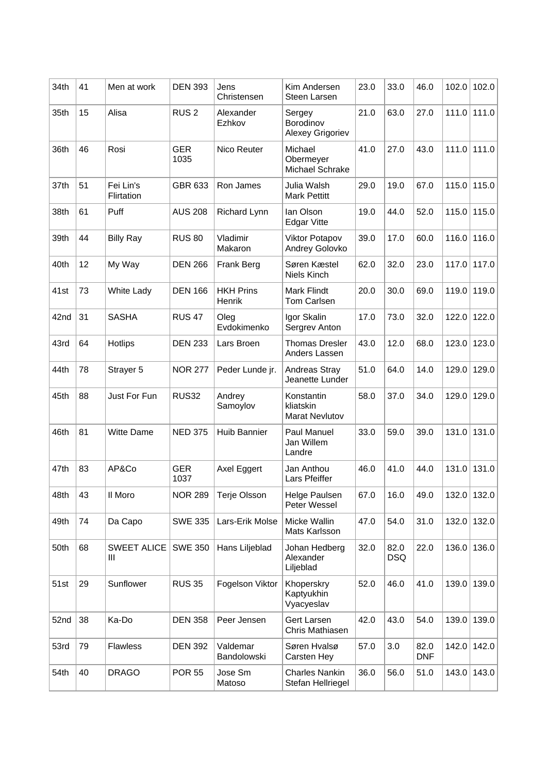| 34th | 41 | Men at work             | <b>DEN 393</b>     | Jens<br>Christensen               | Kim Andersen<br>Steen Larsen               | 23.0 | 33.0               | 46.0               | 102.0 | 102.0 |
|------|----|-------------------------|--------------------|-----------------------------------|--------------------------------------------|------|--------------------|--------------------|-------|-------|
| 35th | 15 | Alisa                   | RUS <sub>2</sub>   | Alexander<br>Ezhkov               | Sergey<br>Borodinov<br>Alexey Grigoriev    | 21.0 | 63.0               | 27.0               | 111.0 | 111.0 |
| 36th | 46 | Rosi                    | <b>GER</b><br>1035 | Nico Reuter                       | Michael<br>Obermeyer<br>Michael Schrake    | 41.0 | 27.0               | 43.0               | 111.0 | 111.0 |
| 37th | 51 | Fei Lin's<br>Flirtation | GBR 633            | Ron James                         | Julia Walsh<br><b>Mark Pettitt</b>         | 29.0 | 19.0               | 67.0               | 115.0 | 115.0 |
| 38th | 61 | Puff                    | <b>AUS 208</b>     | Richard Lynn                      | lan Olson<br><b>Edgar Vitte</b>            | 19.0 | 44.0               | 52.0               | 115.0 | 115.0 |
| 39th | 44 | <b>Billy Ray</b>        | <b>RUS 80</b>      | Vladimir<br>Makaron               | <b>Viktor Potapov</b><br>Andrey Golovko    | 39.0 | 17.0               | 60.0               | 116.0 | 116.0 |
| 40th | 12 | My Way                  | <b>DEN 266</b>     | Frank Berg                        | Søren Kæstel<br>Niels Kinch                | 62.0 | 32.0               | 23.0               | 117.0 | 117.0 |
| 41st | 73 | White Lady              | <b>DEN 166</b>     | <b>HKH Prins</b><br><b>Henrik</b> | <b>Mark Flindt</b><br>Tom Carlsen          | 20.0 | 30.0               | 69.0               | 119.0 | 119.0 |
| 42nd | 31 | <b>SASHA</b>            | <b>RUS 47</b>      | Oleg<br>Evdokimenko               | Igor Skalin<br>Sergrev Anton               | 17.0 | 73.0               | 32.0               | 122.0 | 122.0 |
| 43rd | 64 | <b>Hotlips</b>          | <b>DEN 233</b>     | Lars Broen                        | <b>Thomas Dresler</b><br>Anders Lassen     | 43.0 | 12.0               | 68.0               | 123.0 | 123.0 |
| 44th | 78 | Strayer 5               | <b>NOR 277</b>     | Peder Lunde jr.                   | Andreas Stray<br>Jeanette Lunder           | 51.0 | 64.0               | 14.0               | 129.0 | 129.0 |
| 45th | 88 | Just For Fun            | <b>RUS32</b>       | Andrey<br>Samoylov                | Konstantin<br>kliatskin<br>Marat Nevlutov  | 58.0 | 37.0               | 34.0               | 129.0 | 129.0 |
| 46th | 81 | <b>Witte Dame</b>       | <b>NED 375</b>     | <b>Huib Bannier</b>               | Paul Manuel<br>Jan Willem<br>Landre        | 33.0 | 59.0               | 39.0               | 131.0 | 131.0 |
| 47th | 83 | AP&Co                   | <b>GER</b><br>1037 | Axel Eggert                       | Jan Anthou<br>Lars Pfeiffer                | 46.0 | 41.0               | 44.0               | 131.0 | 131.0 |
| 48th | 43 | II Moro                 | <b>NOR 289</b>     | Terje Olsson                      | Helge Paulsen<br>Peter Wessel              | 67.0 | 16.0               | 49.0               | 132.0 | 132.0 |
| 49th | 74 | Da Capo                 | <b>SWE 335</b>     | Lars-Erik Molse                   | Micke Wallin<br>Mats Karlsson              | 47.0 | 54.0               | 31.0               | 132.0 | 132.0 |
| 50th | 68 | <b>SWEET ALICE</b><br>Ш | <b>SWE 350</b>     | Hans Liljeblad                    | Johan Hedberg<br>Alexander<br>Liljeblad    | 32.0 | 82.0<br><b>DSQ</b> | 22.0               | 136.0 | 136.0 |
| 51st | 29 | Sunflower               | <b>RUS 35</b>      | Fogelson Viktor                   | Khoperskry<br>Kaptyukhin<br>Vyacyeslav     | 52.0 | 46.0               | 41.0               | 139.0 | 139.0 |
| 52nd | 38 | Ka-Do                   | <b>DEN 358</b>     | Peer Jensen                       | Gert Larsen<br>Chris Mathiasen             | 42.0 | 43.0               | 54.0               | 139.0 | 139.0 |
| 53rd | 79 | <b>Flawless</b>         | <b>DEN 392</b>     | Valdemar<br>Bandolowski           | Søren Hvalsø<br>Carsten Hey                | 57.0 | 3.0                | 82.0<br><b>DNF</b> | 142.0 | 142.0 |
| 54th | 40 | <b>DRAGO</b>            | <b>POR 55</b>      | Jose Sm<br>Matoso                 | <b>Charles Nankin</b><br>Stefan Hellriegel | 36.0 | 56.0               | 51.0               | 143.0 | 143.0 |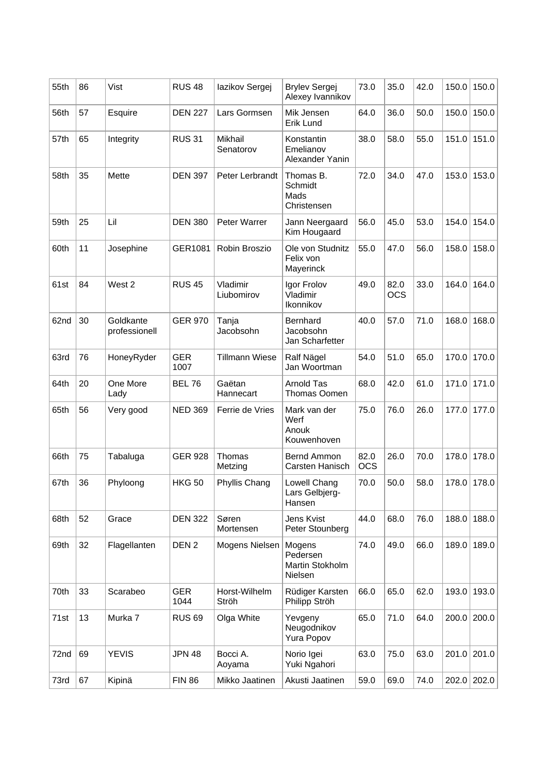| 55th | 86 | Vist                       | <b>RUS 48</b>      | lazikov Sergej              | <b>Brylev Sergej</b><br>Alexey Ivannikov         | 73.0               | 35.0               | 42.0 | 150.0 | 150.0 |
|------|----|----------------------------|--------------------|-----------------------------|--------------------------------------------------|--------------------|--------------------|------|-------|-------|
| 56th | 57 | Esquire                    | <b>DEN 227</b>     | Lars Gormsen                | Mik Jensen<br>Erik Lund                          | 64.0               | 36.0               | 50.0 | 150.0 | 150.0 |
| 57th | 65 | Integrity                  | <b>RUS 31</b>      | <b>Mikhail</b><br>Senatorov | Konstantin<br>Emelianov<br>Alexander Yanin       | 38.0               | 58.0               | 55.0 | 151.0 | 151.0 |
| 58th | 35 | Mette                      | <b>DEN 397</b>     | Peter Lerbrandt             | Thomas B.<br>Schmidt<br>Mads<br>Christensen      | 72.0               | 34.0               | 47.0 | 153.0 | 153.0 |
| 59th | 25 | Lil                        | <b>DEN 380</b>     | Peter Warrer                | Jann Neergaard<br>Kim Hougaard                   | 56.0               | 45.0               | 53.0 | 154.0 | 154.0 |
| 60th | 11 | Josephine                  | GER1081            | Robin Broszio               | Ole von Studnitz<br>Felix von<br>Mayerinck       | 55.0               | 47.0               | 56.0 | 158.0 | 158.0 |
| 61st | 84 | West 2                     | <b>RUS 45</b>      | Vladimir<br>Liubomirov      | Igor Frolov<br>Vladimir<br>Ikonnikov             | 49.0               | 82.0<br><b>OCS</b> | 33.0 | 164.0 | 164.0 |
| 62nd | 30 | Goldkante<br>professionell | <b>GER 970</b>     | Tanja<br>Jacobsohn          | Bernhard<br>Jacobsohn<br>Jan Scharfetter         | 40.0               | 57.0               | 71.0 | 168.0 | 168.0 |
| 63rd | 76 | HoneyRyder                 | <b>GER</b><br>1007 | <b>Tillmann Wiese</b>       | Ralf Nägel<br>Jan Woortman                       | 54.0               | 51.0               | 65.0 | 170.0 | 170.0 |
| 64th | 20 | One More<br>Lady           | <b>BEL 76</b>      | Gaëtan<br>Hannecart         | Arnold Tas<br>Thomas Oomen                       | 68.0               | 42.0               | 61.0 | 171.0 | 171.0 |
| 65th | 56 | Very good                  | <b>NED 369</b>     | Ferrie de Vries             | Mark van der<br>Werf<br>Anouk<br>Kouwenhoven     | 75.0               | 76.0               | 26.0 | 177.0 | 177.0 |
| 66th | 75 | Tabaluga                   | <b>GER 928</b>     | Thomas<br>Metzing           | Bernd Ammon<br>Carsten Hanisch                   | 82.0<br><b>OCS</b> | 26.0               | 70.0 | 178.0 | 178.0 |
| 67th | 36 | Phyloong                   | <b>HKG 50</b>      | Phyllis Chang               | Lowell Chang<br>Lars Gelbjerg-<br>Hansen         | 70.0               | 50.0               | 58.0 | 178.0 | 178.0 |
| 68th | 52 | Grace                      | <b>DEN 322</b>     | Søren<br>Mortensen          | Jens Kvist<br>Peter Stounberg                    | 44.0               | 68.0               | 76.0 | 188.0 | 188.0 |
| 69th | 32 | Flagellanten               | DEN <sub>2</sub>   | Mogens Nielsen              | Mogens<br>Pedersen<br>Martin Stokholm<br>Nielsen | 74.0               | 49.0               | 66.0 | 189.0 | 189.0 |
| 70th | 33 | Scarabeo                   | <b>GER</b><br>1044 | Horst-Wilhelm<br>Ströh      | Rüdiger Karsten<br>Philipp Ströh                 | 66.0               | 65.0               | 62.0 | 193.0 | 193.0 |
| 71st | 13 | Murka 7                    | <b>RUS 69</b>      | Olga White                  | Yevgeny<br>Neugodnikov<br>Yura Popov             | 65.0               | 71.0               | 64.0 | 200.0 | 200.0 |
| 72nd | 69 | <b>YEVIS</b>               | <b>JPN 48</b>      | Bocci A.<br>Aoyama          | Norio Igei<br>Yuki Ngahori                       | 63.0               | 75.0               | 63.0 | 201.0 | 201.0 |
| 73rd | 67 | Kipinä                     | <b>FIN 86</b>      | Mikko Jaatinen              | Akusti Jaatinen                                  | 59.0               | 69.0               | 74.0 | 202.0 | 202.0 |